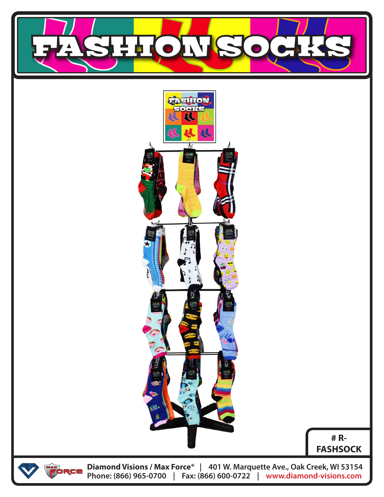



**# R-FASHSOCK**



**Diamond Visions / Max Force® | 401 W. Marquette Ave., Oak Creek, WI 53154 Phone: (866) 965-0700 | Fax: (866) 600-0722 | www.diamond-visions.com**